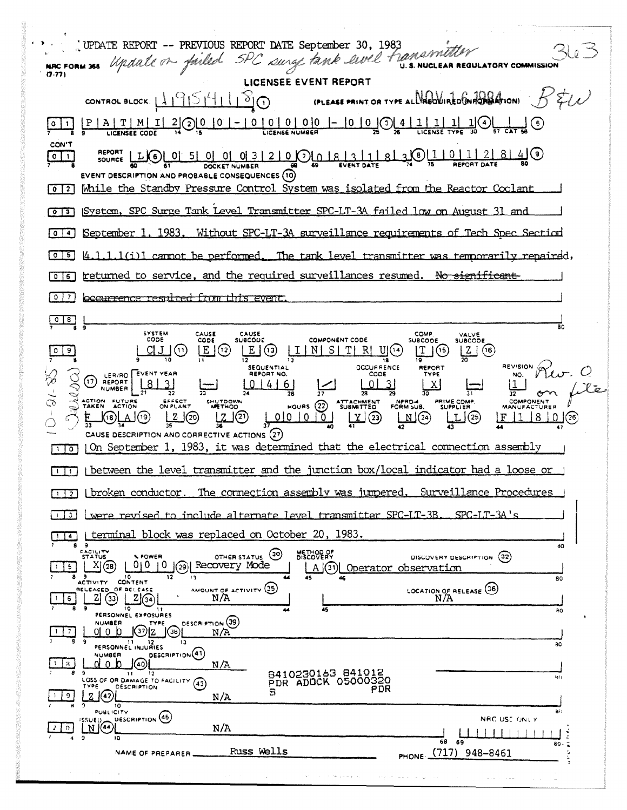| UPDATE REPORT -- PREVIOUS REPORT DATE September 30, 1983                                                                                                                                                                                                                                                                                                                                                                                                                                                                                                                                                                                                                                                                                                                                                                                                                                                                                                                                                                                                                                                     |
|--------------------------------------------------------------------------------------------------------------------------------------------------------------------------------------------------------------------------------------------------------------------------------------------------------------------------------------------------------------------------------------------------------------------------------------------------------------------------------------------------------------------------------------------------------------------------------------------------------------------------------------------------------------------------------------------------------------------------------------------------------------------------------------------------------------------------------------------------------------------------------------------------------------------------------------------------------------------------------------------------------------------------------------------------------------------------------------------------------------|
| NE CORN 365 Update of failed SPC surge tank evel transmitter<br><b>REGULATORY COMMISSION</b>                                                                                                                                                                                                                                                                                                                                                                                                                                                                                                                                                                                                                                                                                                                                                                                                                                                                                                                                                                                                                 |
| LICENSEE EVENT REPORT                                                                                                                                                                                                                                                                                                                                                                                                                                                                                                                                                                                                                                                                                                                                                                                                                                                                                                                                                                                                                                                                                        |
| (PLEASE PRINT OR TYPE ALL PRODUCTED GNADA ATION) $B^2$<br>CONTROL BLOCK: $119511100$                                                                                                                                                                                                                                                                                                                                                                                                                                                                                                                                                                                                                                                                                                                                                                                                                                                                                                                                                                                                                         |
| $\frac{P   A   T   M   I   2}{{\log K_0 \epsilon_0}}$                                                                                                                                                                                                                                                                                                                                                                                                                                                                                                                                                                                                                                                                                                                                                                                                                                                                                                                                                                                                                                                        |
| CON'T<br> 0 1 <br>EVENT DESCRIPTION AND PROBABLE CONSEQUENCES (10)                                                                                                                                                                                                                                                                                                                                                                                                                                                                                                                                                                                                                                                                                                                                                                                                                                                                                                                                                                                                                                           |
| Mhile the Standby Pressure Control System was isolated from the Reactor Coolant<br>$0$   2                                                                                                                                                                                                                                                                                                                                                                                                                                                                                                                                                                                                                                                                                                                                                                                                                                                                                                                                                                                                                   |
| System, SPC Surge Tank Level Transmitter SPC-LT-3A failed low on August 31 and                                                                                                                                                                                                                                                                                                                                                                                                                                                                                                                                                                                                                                                                                                                                                                                                                                                                                                                                                                                                                               |
| September 1, 1983. Without SPC-LT-3A surveillance requirements of Tech Spec Section<br>  0   4                                                                                                                                                                                                                                                                                                                                                                                                                                                                                                                                                                                                                                                                                                                                                                                                                                                                                                                                                                                                               |
| $[4.1.1.1(i)]$ cannot be performed. The tank level transmitter was temporarily repaired,<br>IO 151                                                                                                                                                                                                                                                                                                                                                                                                                                                                                                                                                                                                                                                                                                                                                                                                                                                                                                                                                                                                           |
| returned to service, and the required surveillances resumed. No significant<br>6<br>$\circ$                                                                                                                                                                                                                                                                                                                                                                                                                                                                                                                                                                                                                                                                                                                                                                                                                                                                                                                                                                                                                  |
| <u>becurrence resulted from this event.</u><br>$\mathbf{0}$<br>7                                                                                                                                                                                                                                                                                                                                                                                                                                                                                                                                                                                                                                                                                                                                                                                                                                                                                                                                                                                                                                             |
| 8.<br>80                                                                                                                                                                                                                                                                                                                                                                                                                                                                                                                                                                                                                                                                                                                                                                                                                                                                                                                                                                                                                                                                                                     |
| SYSTEM<br>CAUSE<br>CAUSE<br><b>COMP</b><br><b>VALVE</b><br>CODE<br><b>COMPONENT CODE</b><br><b>SUBCODE</b><br>CODE<br><b>SUBCODE</b><br><b>SUBCODE</b><br>E(2)<br>E(G)<br>$\lfloor 1 \rfloor N \rfloor S \lfloor T \rfloor R \rfloor U(14)$<br><u> ၂၂၂</u> (၂<br>$\lfloor 2 \rfloor$ (16)<br>9.<br>REVISION PLU<br>OCCURRENCE<br><b>SEQUENTIAL</b><br>REPORT<br>O REPORT [BUENT YEAR<br>REPORT NO.<br>CODE<br>TYPE<br>$\lfloor x \rfloor$<br>0146<br><b>EXERCISE ACTION</b><br>HOURS 22 SUBMITTED FORM SUB SUPPLIER<br>SHUTDOWN<br>ON PLANT<br>$\frac{Z}{35}$ (20)<br>பூபடு<br>$\frac{1}{2}$ $\frac{1}{2}$ $\frac{1}{2}$ $\frac{1}{2}$ $\frac{1}{2}$ $\frac{1}{2}$ $\frac{1}{2}$ $\frac{1}{2}$ $\frac{1}{2}$ $\frac{1}{2}$ $\frac{1}{2}$ $\frac{1}{2}$ $\frac{1}{2}$ $\frac{1}{2}$ $\frac{1}{2}$ $\frac{1}{2}$ $\frac{1}{2}$ $\frac{1}{2}$ $\frac{1}{2}$ $\frac{1}{2}$ $\frac{1}{2}$ $\frac{1}{2}$<br>ெட்டி<br>$\mathbf{L}$ (25)<br><u>F 1 8 9</u><br>CAUSE DESCRIPTION AND CORRECTIVE ACTIONS (27)<br>On September 1, 1983, it was determined that the electrical connection assembly<br>$\overline{\circ}$ |
| between the level transmitter and the junction box/local indicator had a loose or                                                                                                                                                                                                                                                                                                                                                                                                                                                                                                                                                                                                                                                                                                                                                                                                                                                                                                                                                                                                                            |
| Surveillance Procedures<br>The connection assembly was jumpered.<br>proken conductor.<br>$1\perp$ 2                                                                                                                                                                                                                                                                                                                                                                                                                                                                                                                                                                                                                                                                                                                                                                                                                                                                                                                                                                                                          |
| were revised to include alternate level transmitter SPC-LT-3B,<br>SPC-IT-3A's<br>3                                                                                                                                                                                                                                                                                                                                                                                                                                                                                                                                                                                                                                                                                                                                                                                                                                                                                                                                                                                                                           |
| terminal block was replaced on October 20, 1983.<br>$\ddot{a}$<br>89<br>80                                                                                                                                                                                                                                                                                                                                                                                                                                                                                                                                                                                                                                                                                                                                                                                                                                                                                                                                                                                                                                   |
| EACILITY<br>STATUS<br>METHOD OF<br>DISCOVERY<br>(30)<br>% POWER<br>OTHER STATUS<br>DISCOVERY DESCRIPTION (32)<br>X(28)<br>010<br>Recovery Mode<br>0<br>5.<br>[29]<br>A(3)<br>Operator observation<br>89<br>10<br>12<br>13<br>45<br>80<br>ACTIVITY CONTENT                                                                                                                                                                                                                                                                                                                                                                                                                                                                                                                                                                                                                                                                                                                                                                                                                                                    |
| AMOUNT OF ACTIVITY (35)<br>LOCATION OF RELEASE (36)<br>RELEASED OF RELEASE<br>$2\sqrt{34}$<br>N/A<br>ZI<br>(33)<br>N/A<br>6.<br>10<br>45<br>-11<br>40<br>PERSONNEL EXPOSURES                                                                                                                                                                                                                                                                                                                                                                                                                                                                                                                                                                                                                                                                                                                                                                                                                                                                                                                                 |
| DESCRIPTION (39)<br><b>NUMBER</b><br>TYPE<br>(38)<br>oro b<br>N/A<br>-9<br>$\mathbf{11}$<br>12<br>13<br>80                                                                                                                                                                                                                                                                                                                                                                                                                                                                                                                                                                                                                                                                                                                                                                                                                                                                                                                                                                                                   |
| PERSONNEL INJURIES<br>DESCRIPTION <sup>(41)</sup><br><b>NUMBER</b><br>40<br>8.<br>N/A<br>8410230163 841012<br>-9<br>$\overline{11}$<br>12<br>ler)<br>LOSS OF OR DAMAGE TO FACILITY<br>PDR ADOCK 05000320<br>(43)<br>TYPE<br><b>DESCRIPTION</b><br>PDR<br>s<br>$\sqrt{42}$<br>z<br>9.<br>N/A<br>10                                                                                                                                                                                                                                                                                                                                                                                                                                                                                                                                                                                                                                                                                                                                                                                                            |
| 翁)<br><b>PUBLICITY</b><br>DESCRIPTION (45)<br>NRC USE ONLY<br><b>ASSUED</b><br>N(44)<br>N/A<br>$\Omega$                                                                                                                                                                                                                                                                                                                                                                                                                                                                                                                                                                                                                                                                                                                                                                                                                                                                                                                                                                                                      |
| $\mathbf{a}$<br>10<br>68<br>69<br>80.5<br>Russ Wells<br>948-8461<br>(717)<br>٥<br>NAME OF PREPARER<br>PHONE.<br>ڋ                                                                                                                                                                                                                                                                                                                                                                                                                                                                                                                                                                                                                                                                                                                                                                                                                                                                                                                                                                                            |
| contractors and<br>of the state of the state of the                                                                                                                                                                                                                                                                                                                                                                                                                                                                                                                                                                                                                                                                                                                                                                                                                                                                                                                                                                                                                                                          |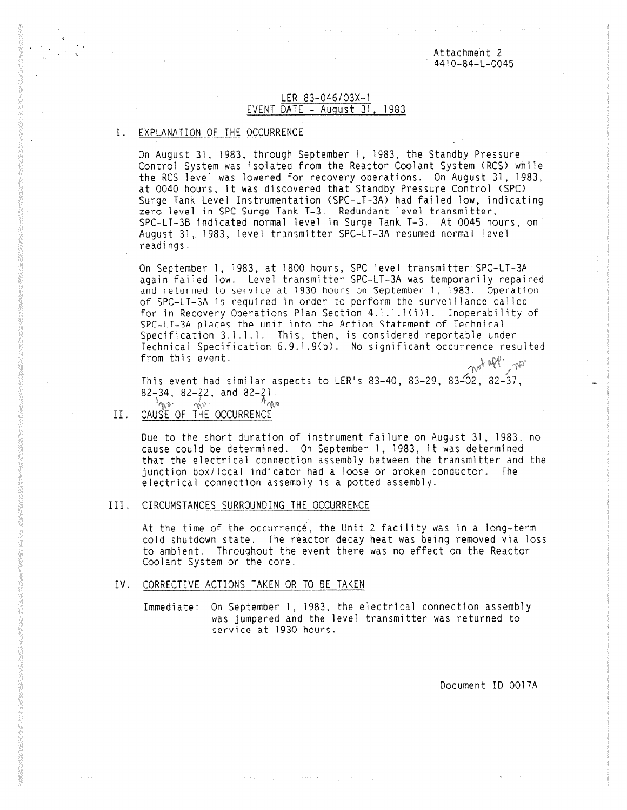Attachment 2 4410-64-L-0045

## LER 83-046/03X-1 EVENT DATE  $-$  August 31, 1983

## I. EXPLANATION OF THE OCCURRENCE

On August 31, 1983, through September 1, 1983, the Standby Pressure Control System was isolated from the Reactor Coolant System (RCS) while the RCS level was lowered for recovery operations. On August 31, 1983, at 0040 hours, it was discovered that Standby Pressure Control (SPC) Surge Tank Level Instrumentation (SPC-LT-3A) had failed low, indicating zero level in SPC Surge Tank T-3. Redundant level transmitter, SPC-LT-38 indicated normal level in Surge Tank T-3. At 0045 hours, on August 31, 1983, level transmitter SPC-LT-3A resumed normal level readings.

On September 1, 1983, at 1800 hours, SPC level transmitter SPC-LT-3A again failed low. Level transmitter SPC-LT-3A was temporarily repaired and returned to service at 1930 hours on September 1, 1983. Operation of SPC-LT-3A is required in order to perform the surveillance called for in Recovery Operations Plan Section 4.1.1.1(1)1. Inoperability of SPC-LT-3A places the unit into the Action Statement of Technical Specification 3.1.1.1. This, then, is considered reportable under Technical Specification 6.9.1.9(b). No significant occurrence resulted from this event. met 1999 ton

This event had similar aspects to LER's 83-40, 83-29, 83-02, 82-37, 82-34, 82-22, and 82-21.<br>Another movie the type  $\int_{0}^{1}$   $\int_{0}^{1}$   $\int_{0}^{1}$   $\int_{0}^{1}$ 

II. CAUSE OF THE OCCURRENCE

Due to the short duration of instrument failure on August 31, 1983, no cause could be determined. On September 1, 1983, it was determined that the electrical connection assembly between the transmitter and the junction box/local indicator had a loose or broken conductor. The electrical connection assembly is a potted assembly.

III. CIRCUMSTANCES SURROUNDING THE OCCURRENCE

At the time of the occurrence, the Unit 2 facility was in a long-term cold shutdown state. The reactor decay heat was being removed via loss to ambient. Throughout the event there was no effect on the Reactor Coolant System or the core.

- IV. CORRECTIVE ACTIONS TAKEN OR TO BE TAKEN
	- Immediate: On September 1, 1983, the electrical connection assembly was jumpered and the level transmitter was returned to service at 1930 hours.

Document ID 0017A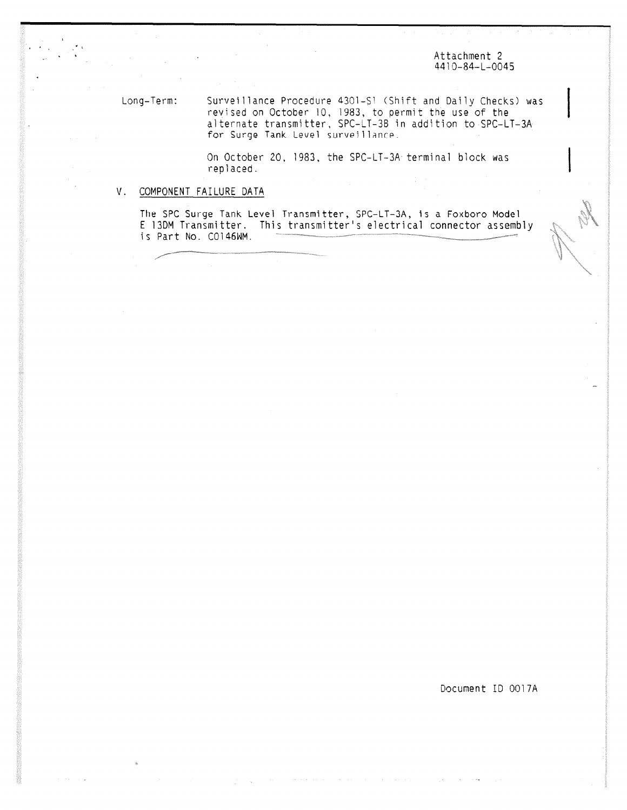Attachment 2 4410-84-L-0045

Long-Term: Surveillance Procedure 4301-S1 (Shift and Daily Checks) was revised on October 10, 1983, to permit the use of the alternate transmitter, SPC-LT-3B in addition to SPC-LT-3A for Surge Tank Level surveillance\_

> On October 20, 1983, the SPC-LT-3A terminal block was replaced.

## V. COMPONENT FAILURE DATA

The SPC Surge Tank Level Transmitter, SPC-LT-3A, is a Foxboro Model E 13DM Transmitter. This transmitter's electrical connector assembly is Part No. C0146WM.

Document ID 0017A

and a state of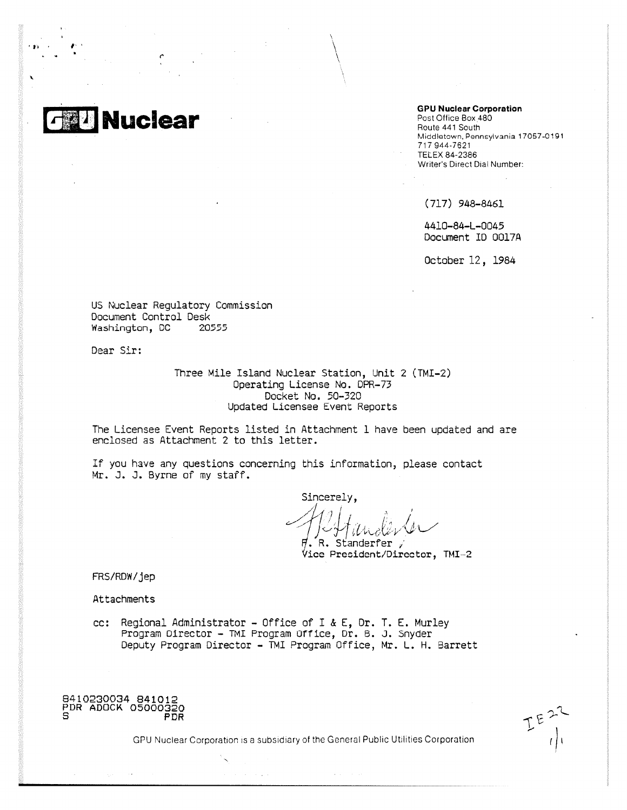**Nuclear**

**GPU Nuclear Corporation**

Post Office Box 480 Route 441 South Middletown, Pennsylvania 17057-0191 717 944-7621 TELEX 84-2386 Writer's Direct Dial Number:

(717) 948-8461

4410-84-L-0045 Document ID 0017A

October 12, 1984

US Nuclear Regulatory Commission Document Control Desk<br>Washington. DC 20555 Washington, DC

Dear Sir:

Three Mile Island Nuclear Station, Unit 2 (TMI-2) Operating License No. DPR-73 Docket No. 50-320 Updated Licensee Event Reports

The Licensee Event Reports listed in Attachment 1 have been updated and are enclosed as Attachment 2 to this letter.

If you have any questions concerning this information, please contact Mr. J. J. Byrne of my staff.

Sincerely.

. R. Standerfer  $\sqrt{2}$ Vice President/Director, TMI -2

FRS/RDW/jep

Attachments

cc: Regional Administrator - Office of I & E, Dr. T. E. Murley Program Director - TMI Program Office, Dr. 6. J. Snyder Deputy Program Director - TMI Program Office, Mr. L. H. Barrett

8410230034 841012 PDR ADOCK 05000320 S PDR

GPU Nuclear Corporation is a subsidiary of the General Public Utilities Corporation